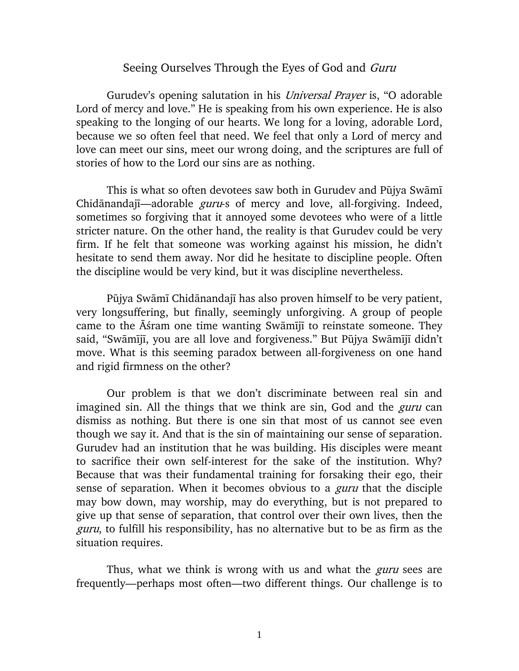## Seeing Ourselves Through the Eyes of God and Guru

Gurudev's opening salutation in his *Universal Prayer* is, "O adorable Lord of mercy and love." He is speaking from his own experience. He is also speaking to the longing of our hearts. We long for a loving, adorable Lord, because we so often feel that need. We feel that only a Lord of mercy and love can meet our sins, meet our wrong doing, and the scriptures are full of stories of how to the Lord our sins are as nothing.

This is what so often devotees saw both in Gurudev and Pūjya Swāmī Chidānandajī—adorable *guru*-s of mercy and love, all-forgiving. Indeed, sometimes so forgiving that it annoyed some devotees who were of a little stricter nature. On the other hand, the reality is that Gurudev could be very firm. If he felt that someone was working against his mission, he didn't hesitate to send them away. Nor did he hesitate to discipline people. Often the discipline would be very kind, but it was discipline nevertheless.

Pūjya Swāmī Chidānandajī has also proven himself to be very patient, very longsuffering, but finally, seemingly unforgiving. A group of people came to the  $\bar{A}$ *s*ram one time wanting Swamiji to reinstate someone. They said, "Swāmījī, you are all love and forgiveness." But Pūjya Swāmījī didn't move. What is this seeming paradox between all-forgiveness on one hand and rigid firmness on the other?

Our problem is that we don't discriminate between real sin and imagined sin. All the things that we think are sin, God and the *guru* can dismiss as nothing. But there is one sin that most of us cannot see even though we say it. And that is the sin of maintaining our sense of separation. Gurudev had an institution that he was building. His disciples were meant to sacrifice their own self-interest for the sake of the institution. Why? Because that was their fundamental training for forsaking their ego, their sense of separation. When it becomes obvious to a *guru* that the disciple may bow down, may worship, may do everything, but is not prepared to give up that sense of separation, that control over their own lives, then the guru, to fulfill his responsibility, has no alternative but to be as firm as the situation requires.

Thus, what we think is wrong with us and what the *guru* sees are frequently—perhaps most often—two different things. Our challenge is to